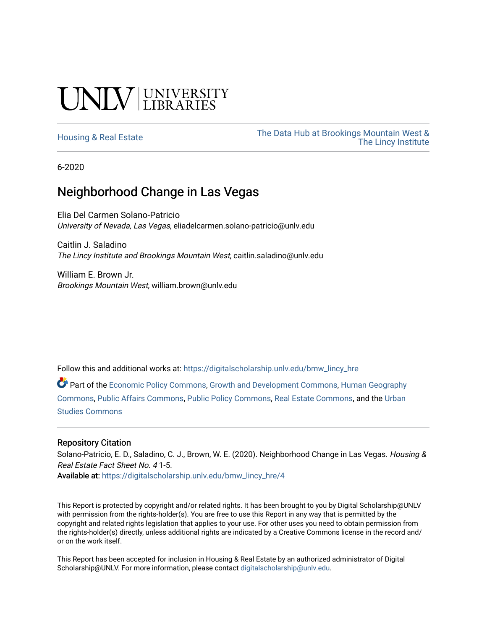# **INIVERSITY**

[Housing & Real Estate](https://digitalscholarship.unlv.edu/bmw_lincy_hre) The Data Hub at Brookings Mountain West & [The Lincy Institute](https://digitalscholarship.unlv.edu/bmw_lincy_datahub) 

6-2020

#### Neighborhood Change in Las Vegas

Elia Del Carmen Solano-Patricio University of Nevada, Las Vegas, eliadelcarmen.solano-patricio@unlv.edu

Caitlin J. Saladino The Lincy Institute and Brookings Mountain West, caitlin.saladino@unlv.edu

William E. Brown Jr. Brookings Mountain West, william.brown@unlv.edu

Follow this and additional works at: [https://digitalscholarship.unlv.edu/bmw\\_lincy\\_hre](https://digitalscholarship.unlv.edu/bmw_lincy_hre?utm_source=digitalscholarship.unlv.edu%2Fbmw_lincy_hre%2F4&utm_medium=PDF&utm_campaign=PDFCoverPages)

Part of the [Economic Policy Commons](http://network.bepress.com/hgg/discipline/1025?utm_source=digitalscholarship.unlv.edu%2Fbmw_lincy_hre%2F4&utm_medium=PDF&utm_campaign=PDFCoverPages), [Growth and Development Commons](http://network.bepress.com/hgg/discipline/346?utm_source=digitalscholarship.unlv.edu%2Fbmw_lincy_hre%2F4&utm_medium=PDF&utm_campaign=PDFCoverPages), [Human Geography](http://network.bepress.com/hgg/discipline/356?utm_source=digitalscholarship.unlv.edu%2Fbmw_lincy_hre%2F4&utm_medium=PDF&utm_campaign=PDFCoverPages)  [Commons](http://network.bepress.com/hgg/discipline/356?utm_source=digitalscholarship.unlv.edu%2Fbmw_lincy_hre%2F4&utm_medium=PDF&utm_campaign=PDFCoverPages), [Public Affairs Commons](http://network.bepress.com/hgg/discipline/399?utm_source=digitalscholarship.unlv.edu%2Fbmw_lincy_hre%2F4&utm_medium=PDF&utm_campaign=PDFCoverPages), [Public Policy Commons,](http://network.bepress.com/hgg/discipline/400?utm_source=digitalscholarship.unlv.edu%2Fbmw_lincy_hre%2F4&utm_medium=PDF&utm_campaign=PDFCoverPages) [Real Estate Commons,](http://network.bepress.com/hgg/discipline/641?utm_source=digitalscholarship.unlv.edu%2Fbmw_lincy_hre%2F4&utm_medium=PDF&utm_campaign=PDFCoverPages) and the [Urban](http://network.bepress.com/hgg/discipline/402?utm_source=digitalscholarship.unlv.edu%2Fbmw_lincy_hre%2F4&utm_medium=PDF&utm_campaign=PDFCoverPages) [Studies Commons](http://network.bepress.com/hgg/discipline/402?utm_source=digitalscholarship.unlv.edu%2Fbmw_lincy_hre%2F4&utm_medium=PDF&utm_campaign=PDFCoverPages) 

#### Repository Citation

Solano-Patricio, E. D., Saladino, C. J., Brown, W. E. (2020). Neighborhood Change in Las Vegas. Housing & Real Estate Fact Sheet No. 4 1-5.

Available at: [https://digitalscholarship.unlv.edu/bmw\\_lincy\\_hre/4](https://digitalscholarship.unlv.edu/bmw_lincy_hre/4)

This Report is protected by copyright and/or related rights. It has been brought to you by Digital Scholarship@UNLV with permission from the rights-holder(s). You are free to use this Report in any way that is permitted by the copyright and related rights legislation that applies to your use. For other uses you need to obtain permission from the rights-holder(s) directly, unless additional rights are indicated by a Creative Commons license in the record and/ or on the work itself.

This Report has been accepted for inclusion in Housing & Real Estate by an authorized administrator of Digital Scholarship@UNLV. For more information, please contact [digitalscholarship@unlv.edu.](mailto:digitalscholarship@unlv.edu)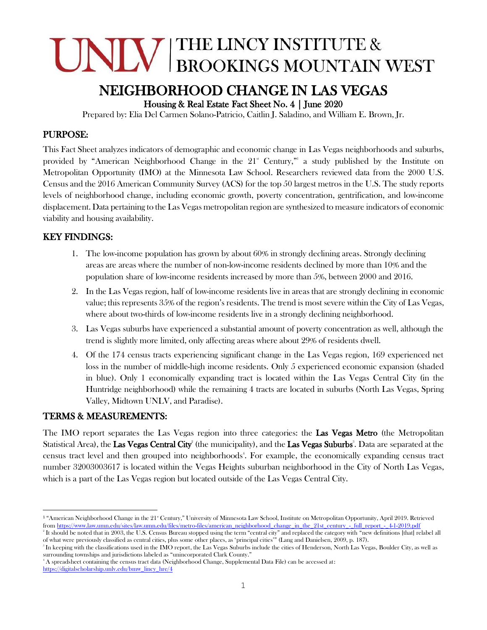## INIV BROOKINGS MOUNTAIN WEST THE LINCY INSTITUTE &

### NEIGHBORHOOD CHANGE IN LAS VEGAS

Housing & Real Estate Fact Sheet No. 4 | June 2020

Prepared by: Elia Del Carmen Solano-Patricio, Caitlin J. Saladino, and William E. Brown, Jr.

#### PURPOSE:

This Fact Sheet analyzes indicators of demographic and economic change in Las Vegas neighborhoods and suburbs, provided by "American Neighborhood Change in the 21<sup>st</sup> Century," a study published by the Institute on Metropolitan Opportunity (IMO) at the Minnesota Law School. Researchers reviewed data from the 2000 U.S. Census and the 2016 American Community Survey (ACS) for the top 50 largest metros in the U.S. The study reports levels of neighborhood change, including economic growth, poverty concentration, gentrification, and low-income displacement. Data pertaining to the Las Vegas metropolitan region are synthesized to measure indicators of economic viability and housing availability.

#### KEY FINDINGS:

- 1. The low-income population has grown by about 60% in strongly declining areas. Strongly declining areas are areas where the number of non-low-income residents declined by more than 10% and the population share of low-income residents increased by more than 5%, between 2000 and 2016.
- 2. In the Las Vegas region, half of low-income residents live in areas that are strongly declining in economic value; this represents 35% of the region's residents. The trend is most severe within the City of Las Vegas, where about two-thirds of low-income residents live in a strongly declining neighborhood.
- 3. Las Vegas suburbs have experienced a substantial amount of poverty concentration as well, although the trend is slightly more limited, only affecting areas where about 29% of residents dwell.
- 4. Of the 174 census tracts experiencing significant change in the Las Vegas region, 169 experienced net loss in the number of middle-high income residents. Only 5 experienced economic expansion (shaded in blue). Only 1 economically expanding tract is located within the Las Vegas Central City (in the Huntridge neighborhood) while the remaining 4 tracts are located in suburbs (North Las Vegas, Spring Valley, Midtown UNLV, and Paradise).

#### TERMS & MEASUREMENTS:

The IMO report separates the Las Vegas region into three categories: the Las Vegas Metro (the Metropolitan Statistical Area), the Las Vegas Central City<sup>2</sup> (the municipality), and the Las Vegas Suburbs<sup>3</sup>. Data are separated at the census tract level and then grouped into neighborhoods<sup>4</sup>. For example, the economically expanding census tract number 32003003617 is located within the Vegas Heights suburban neighborhood in the City of North Las Vegas, which is a part of the Las Vegas region but located outside of the Las Vegas Central City.

<sup>&</sup>lt;sup>1</sup> "American Neighborhood Change in the 21<sup>st</sup> Century," University of Minnesota Law School, Institute on Metropolitan Opportunity, April 2019. Retrieved fro[m https://www.law.umn.edu/sites/law.umn.edu/files/metro-files/american\\_neighborhood\\_change\\_in\\_the\\_21st\\_century\\_-\\_full\\_report\\_-\\_4-1-2019.pdf](https://www.law.umn.edu/sites/law.umn.edu/files/metro-files/american_neighborhood_change_in_the_21st_century_-_full_report_-_4-1-2019.pdf)

<sup>&</sup>lt;sup>2</sup> It should be noted that in 2003, the U.S. Census Bureau stopped using the term "central city" and replaced the category with "new definitions [that] relabel all of what were previously classified as central cities, plus some other places, as 'principal cities'" (Lang and Danielsen, 2009, p. 187).

 $\rm{^{3}}$  In keeping with the classifications used in the IMO report, the Las Vegas Suburbs include the cities of Henderson, North Las Vegas, Boulder City, as well as surrounding townships and jurisdictions labeled as "unincorporated Clark County."

<sup>4</sup> A spreadsheet containing the census tract data (Neighborhood Change, Supplemental Data File) can be accessed at: [https://digitalscholarship.unlv.edu/bmw\\_lincy\\_hre/4](https://digitalscholarship.unlv.edu/bmw_lincy_hre/4)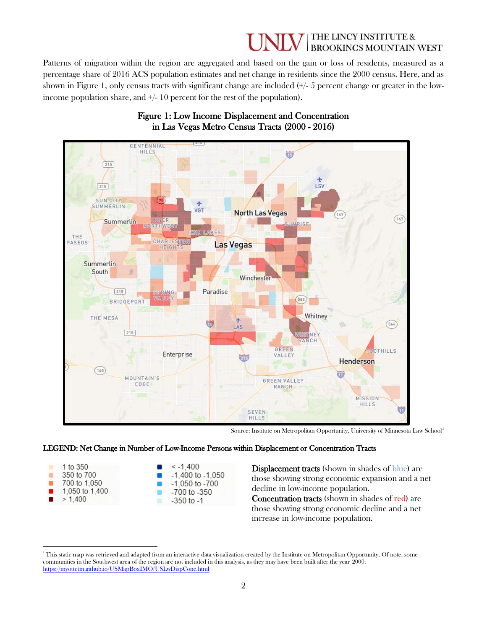#### THE LINCY INSTITUTE & **BROOKINGS MOUNTAIN WEST**

Patterns of migration within the region are aggregated and based on the gain or loss of residents, measured as a percentage share of 2016 ACS population estimates and net change in residents since the 2000 census. Here, and as shown in Figure 1, only census tracts with significant change are included  $(+/- 5$  percent change or greater in the lowincome population share, and  $\pm/10$  percent for the rest of the population).



#### Figure 1: Low Income Displacement and Concentration in Las Vegas Metro Census Tracts (2000 - 2016)

Source: Institute on Metropolitan Opportunity, University of Minnesota Law School<sup>5</sup>

#### LEGEND: Net Change in Number of Low-Income Persons within Displacement or Concentration Tracts



Displacement tracts (shown in shades of blue) are those showing strong economic expansion and a net decline in low-income population. Concentration tracts (shown in shades of red) are

those showing strong economic decline and a net increase in low-income population.

<sup>&</sup>lt;sup>5</sup> This static map was retrieved and adapted from an interactive data visualization created by the Institute on Metropolitan Opportunity. Of note, some communities in the Southwest area of the region are not included in this analysis, as they may have been built after the year 2000. <https://myottetm.github.io/USMapBoxIMO/USLwDispConc.html>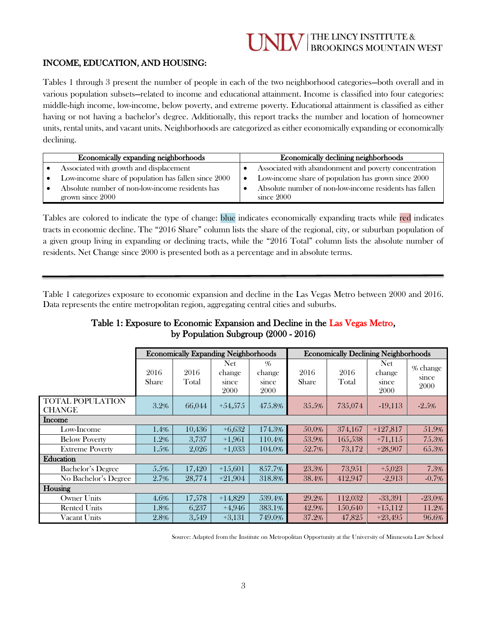### THE LINCY INSTITUTE &<br>BROOKINGS MOUNTAIN WEST

#### INCOME, EDUCATION, AND HOUSING:

Tables 1 through 3 present the number of people in each of the two neighborhood categories—both overall and in various population subsets—related to income and educational attainment. Income is classified into four categories: middle-high income, low-income, below poverty, and extreme poverty. Educational attainment is classified as either having or not having a bachelor's degree. Additionally, this report tracks the number and location of homeowner units, rental units, and vacant units. Neighborhoods are categorized as either economically expanding or economically declining.

| Economically expanding neighborhoods                                | Economically declining neighborhoods |                                                                        |  |  |  |  |
|---------------------------------------------------------------------|--------------------------------------|------------------------------------------------------------------------|--|--|--|--|
| Associated with growth and displacement                             |                                      | Associated with abandonment and poverty concentration                  |  |  |  |  |
| Low-income share of population has fallen since 2000                | $\bullet$                            | Low-income share of population has grown since 2000                    |  |  |  |  |
| Absolute number of non-low-income residents has<br>grown since 2000 |                                      | Absolute number of non-low-income residents has fallen<br>since $2000$ |  |  |  |  |

Tables are colored to indicate the type of change: blue indicates economically expanding tracts while red indicates tracts in economic decline. The "2016 Share" column lists the share of the regional, city, or suburban population of a given group living in expanding or declining tracts, while the "2016 Total" column lists the absolute number of residents. Net Change since 2000 is presented both as a percentage and in absolute terms.

Table 1 categorizes exposure to economic expansion and decline in the Las Vegas Metro between 2000 and 2016. Data represents the entire metropolitan region, aggregating central cities and suburbs.

ׇ֧֬

| Table 1: Exposure to Economic Expansion and Decline in the Las Vegas Metro, |
|-----------------------------------------------------------------------------|
| by Population Subgroup $(2000 - 2016)$                                      |

|                          | <b>Economically Expanding Neighborhoods</b> |               |                                       | <b>Economically Declining Neighborhoods</b> |               |               |                                |                           |
|--------------------------|---------------------------------------------|---------------|---------------------------------------|---------------------------------------------|---------------|---------------|--------------------------------|---------------------------|
|                          | 2016<br>Share                               | 2016<br>Total | <b>Net</b><br>change<br>since<br>2000 | %<br>change<br>since<br>2000                | 2016<br>Share | 2016<br>Total | Net<br>change<br>since<br>2000 | % change<br>since<br>2000 |
| <b>TOTAL POPULATION</b>  | 3.2%                                        | 66,044        | $+54,575$                             | 475.8%                                      | 35.5%         | 735,074       | $-19,113$                      | $-2.5\%$                  |
| <b>CHANGE</b><br>Income  |                                             |               |                                       |                                             |               |               |                                |                           |
| Low-Income               | 1.4%                                        | 10,436        | $+6,632$                              | 174.3%                                      | 50.0%         | 374,167       | $+127,817$                     | 51.9%                     |
| <b>Below Poverty</b>     | 1.2%                                        | 3,737         | $+1.961$                              | 110.4%                                      | 53.9%         | 165,538       | $+71,115$                      | 75.3%                     |
| <b>Extreme Poverty</b>   | 1.5%                                        | 2,026         | $+1,033$                              | 104.0%                                      | 52.7%         | 73,172        | $+28,907$                      | 65.3%                     |
| Education                |                                             |               |                                       |                                             |               |               |                                |                           |
| <b>Bachelor's Degree</b> | 5.5%                                        | 17,420        | $+15,601$                             | 857.7%                                      | 23.3%         | 73,951        | $+5,023$                       | 7.3%                      |
| No Bachelor's Degree     | 2.7%                                        | 28,774        | $+21.904$                             | 318.8%                                      | 38.4%         | 412.947       | $-2,913$                       | $-0.7\%$                  |
| Housing                  |                                             |               |                                       |                                             |               |               |                                |                           |
| <b>Owner Units</b>       | 4.6%                                        | 17,578        | $+14,829$                             | 539.4%                                      | 29.2%         | 112,032       | $-33,391$                      | $-23.0\%$                 |
| <b>Rented Units</b>      | 1.8%                                        | 6,237         | $+4,946$                              | 383.1%                                      | 42.9%         | 150.640       | $+15,112$                      | 11.2%                     |
| Vacant Units             | 2.8%                                        | 3,549         | $+3,131$                              | 749.0%                                      | 37.2%         | 47,825        | $+23,495$                      | 96.6%                     |

Source: Adapted from the Institute on Metropolitan Opportunity at the University of Minnesota Law School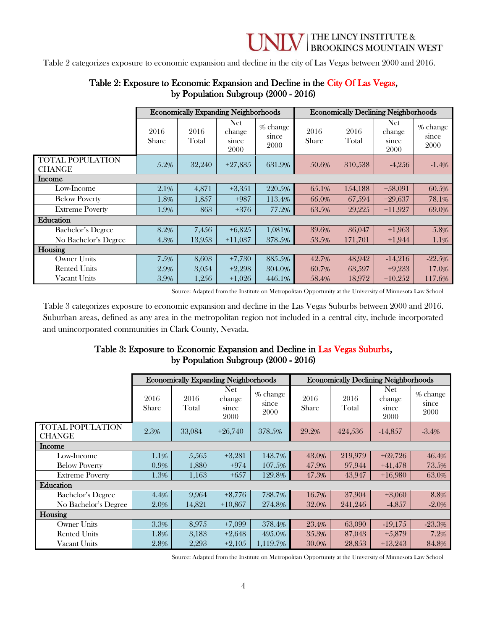Table 2 categorizes exposure to economic expansion and decline in the city of Las Vegas between 2000 and 2016.

|                                          | <b>Economically Expanding Neighborhoods</b> |               |                                | <b>Economically Declining Neighborhoods</b> |                      |               |                                |                           |
|------------------------------------------|---------------------------------------------|---------------|--------------------------------|---------------------------------------------|----------------------|---------------|--------------------------------|---------------------------|
|                                          | 2016<br><b>Share</b>                        | 2016<br>Total | Net<br>change<br>since<br>2000 | % change<br>since<br>2000                   | 2016<br><b>Share</b> | 2016<br>Total | Net<br>change<br>since<br>2000 | % change<br>since<br>2000 |
| <b>TOTAL POPULATION</b><br><b>CHANGE</b> | 5.2%                                        | 32,240        | $+27,835$                      | 631.9%                                      | 50.6%                | 310,538       | $-4,256$                       | $-1.4%$                   |
| <b>Income</b>                            |                                             |               |                                |                                             |                      |               |                                |                           |
| Low-Income                               | 2.1%                                        | 4,871         | $+3,351$                       | 220.5%                                      | 65.1%                | 154,188       | $+58,091$                      | 60.5%                     |
| <b>Below Poverty</b>                     | 1.8%                                        | 1,857         | $+987$                         | 113.4%                                      | 66.0%                | 67.594        | $+29,637$                      | 78.1%                     |
| <b>Extreme Poverty</b>                   | 1.9%                                        | 863           | $+376$                         | 77.2%                                       | 63.5%                | 29,225        | $+11,927$                      | 69.0%                     |
| Education                                |                                             |               |                                |                                             |                      |               |                                |                           |
| <b>Bachelor's Degree</b>                 | 8.2%                                        | 7,456         | $+6,825$                       | 1,081%                                      | 39.6%                | 36,047        | $+1.963$                       | 5.8%                      |
| No Bachelor's Degree                     | 4.3%                                        | 13,953        | $+11,037$                      | 378.5%                                      | 53.5%                | 171,701       | $+1,944$                       | $1.1\%$                   |
| Housing                                  |                                             |               |                                |                                             |                      |               |                                |                           |
| Owner Units                              | 7.5%                                        | 8,603         | $+7,730$                       | 885.5%                                      | 42.7%                | 48.942        | $-14,216$                      | $-22.5%$                  |
| <b>Rented Units</b>                      | 2.9%                                        | 3,054         | $+2,298$                       | 304.0%                                      | 60.7%                | 63,597        | $+9,233$                       | 17.0%                     |
| Vacant Units                             | 3.9%                                        | 1.256         | $+1,026$                       | 446.1%                                      | 58.4%                | 18.972        | $+10.252$                      | 117.6%                    |

#### Table 2: Exposure to Economic Expansion and Decline in the City Of Las Vegas, by Population Subgroup (2000 - 2016)

Source: Adapted from the Institute on Metropolitan Opportunity at the University of Minnesota Law School

Table 3 categorizes exposure to economic expansion and decline in the Las Vegas Suburbs between 2000 and 2016. Suburban areas, defined as any area in the metropolitan region not included in a central city, include incorporated and unincorporated communities in Clark County, Nevada.

#### Table 3: Exposure to Economic Expansion and Decline in Las Vegas Suburbs, by Population Subgroup (2000 - 2016)

|                                   | <b>Economically Expanding Neighborhoods</b> |               |                                | <b>Economically Declining Neighborhoods</b> |               |               |                                       |                           |
|-----------------------------------|---------------------------------------------|---------------|--------------------------------|---------------------------------------------|---------------|---------------|---------------------------------------|---------------------------|
|                                   | 2016<br>Share                               | 2016<br>Total | Net<br>change<br>since<br>2000 | % change<br>since<br>2000                   | 2016<br>Share | 2016<br>Total | <b>Net</b><br>change<br>since<br>2000 | % change<br>since<br>2000 |
| TOTAL POPULATION<br><b>CHANGE</b> | 2.3%                                        | 33,084        | $+26,740$                      | 378.5%                                      | 29.2%         | 424,536       | $-14,857$                             | $-3.4%$                   |
| <b>Income</b>                     |                                             |               |                                |                                             |               |               |                                       |                           |
| Low-Income                        | 1.1%                                        | 5,565         | $+3,281$                       | 143.7%                                      | 43.0%         | 219,979       | $+69,726$                             | 46.4%                     |
| <b>Below Poverty</b>              | 0.9%                                        | 1,880         | $+974$                         | 107.5%                                      | 47.9%         | 97,944        | $+41.478$                             | 73.5%                     |
| <b>Extreme Poverty</b>            | 1.3%                                        | 1,163         | $+657$                         | 129.8%                                      | 47.3%         | 43.947        | $+16.980$                             | 63.0%                     |
| Education                         |                                             |               |                                |                                             |               |               |                                       |                           |
| Bachelor's Degree                 | 4.4%                                        | 9,964         | $+8,776$                       | 738.7%                                      | 16.7%         | 37,904        | $+3,060$                              | 8.8%                      |
| No Bachelor's Degree              | 2.0%                                        | 14,821        | $+10,867$                      | 274.8%                                      | 32.0%         | 241,246       | $-4,857$                              | $-2.0\%$                  |
| Housing                           |                                             |               |                                |                                             |               |               |                                       |                           |
| <b>Owner Units</b>                | 3.3%                                        | 8,975         | $+7,099$                       | 378.4%                                      | 23.4%         | 63,090        | $-19,175$                             | $-23.3%$                  |
| <b>Rented Units</b>               | 1.8%                                        | 3,183         | $+2,648$                       | 495.0%                                      | 35.3%         | 87,043        | $+5,879$                              | 7.2%                      |
| Vacant Units                      | 2.8%                                        | 2,293         | $+2,105$                       | 1.119.7%                                    | 30.0%         | 28,853        | $+13,243$                             | 84.8%                     |

Source: Adapted from the Institute on Metropolitan Opportunity at the University of Minnesota Law School